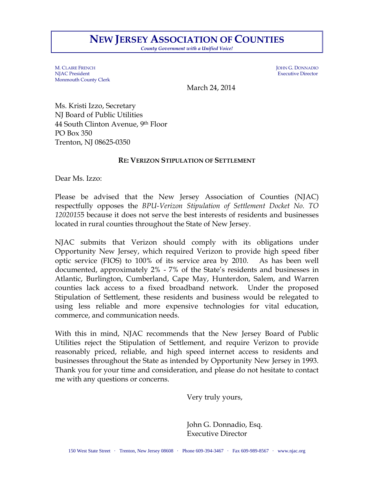## **NEW JERSEY ASSOCIATION OF COUNTIES**

*County Government with a Unified Voice!*

M. CLAIRE FRENCH JOHN G. DONNADIO NJAC President Executive Director Monmouth County Clerk

March 24, 2014

Ms. Kristi Izzo, Secretary NJ Board of Public Utilities 44 South Clinton Avenue, 9th Floor PO Box 350 Trenton, NJ 08625-0350

## **RE: VERIZON STIPULATION OF SETTLEMENT**

Dear Ms. Izzo:

Please be advised that the New Jersey Association of Counties (NJAC) respectfully opposes the *BPU-Verizon Stipulation of Settlement Docket No. TO 1202015*5 because it does not serve the best interests of residents and businesses located in rural counties throughout the State of New Jersey.

NJAC submits that Verizon should comply with its obligations under Opportunity New Jersey, which required Verizon to provide high speed fiber optic service (FIOS) to 100% of its service area by 2010. As has been well documented, approximately 2% - 7% of the State's residents and businesses in Atlantic, Burlington, Cumberland, Cape May, Hunterdon, Salem, and Warren counties lack access to a fixed broadband network. Under the proposed Stipulation of Settlement, these residents and business would be relegated to using less reliable and more expensive technologies for vital education, commerce, and communication needs.

With this in mind, NJAC recommends that the New Jersey Board of Public Utilities reject the Stipulation of Settlement, and require Verizon to provide reasonably priced, reliable, and high speed internet access to residents and businesses throughout the State as intended by Opportunity New Jersey in 1993. Thank you for your time and consideration, and please do not hesitate to contact me with any questions or concerns.

Very truly yours,

John G. Donnadio, Esq. Executive Director